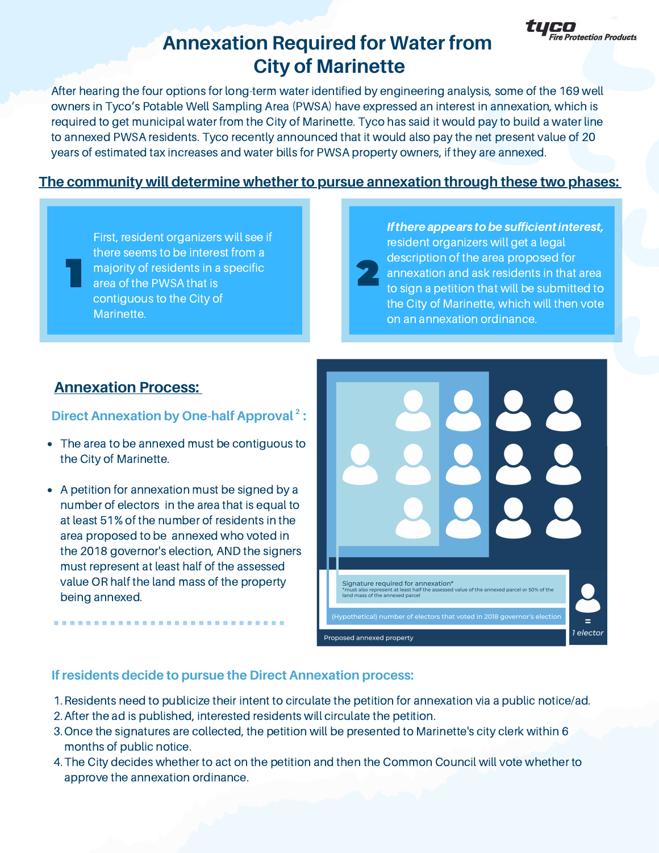

# **Annexation Required for Water from City of Marinette**

After hearing the four options for long-term water identified by engineering analysis, some of the 169 well owners in Tyco's Potable Well Sampling Area (PWSA) have expressed an interest in annexation, which is required to get municipal water from the City of Marinette. Tyco has said it would pay to build a water line to annexed PWSA residents. Tyco recently announced that it would also pay the net present value of 20 1 years of estimated tax increases and water bills for PWSA property owners, if they are annexed.

## **The community will determine whether to pursue annexation through these two phases:**

First, resident organizers will see if there seems to be interest from a majority of residents in a specific area of the PWSA that is contiguous to the City of Marinette.

If there appears to be sufficient interest, resident organizers will get a legal description of the area proposed for annexation and ask residents in that area to sign a petition that will be submitted to the City of Marinette, which will then vote on an annexation ordinance.

## **Annexation Process:**

#### **Direct Annexation by One-half Approval : 2**

- The area to be annexed must be contiguous to the City of Marinette.
- A petition for annexation must be signed by a number of electors in the area that is equal to at least 51% of the number of residents in the area proposed to be annexed who voted in the 2018 governor's election, AND the signers must represent at least half of the assessed value OR half the land mass of the property being annexed.



#### **If residents decide to pursue the Direct Annexation process:**

- 1. Residents need to publicize their intent to circulate the petition for annexation via a public notice/ad.
- 2. After the ad is published, interested residents will circulate the petition.
- 3. Once the signatures are collected, the petition will be presented to Marinette's city clerk within 6 months of public notice.
- The City decides whether to act on the petition and then the Common Council will vote whether to 4. approve the annexation ordinance.